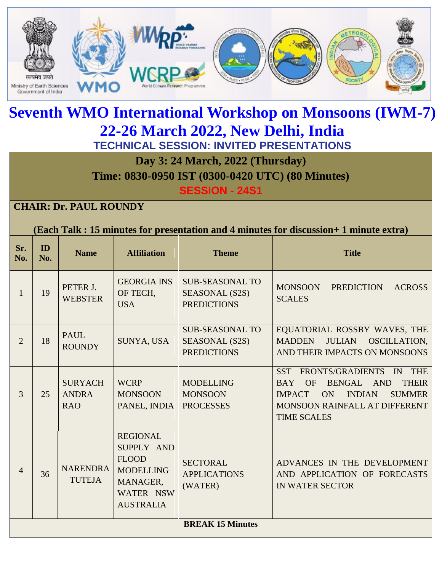

# **Seventh WMO International Workshop on Monsoons (IWM-7) 22-26 March 2022, New Delhi, India TECHNICAL SESSION: INVITED PRESENTATIONS**

**Day 3: 24 March, 2022 (Thursday)** 

**Time: 0830-0950 IST (0300-0420 UTC) (80 Minutes)**

**SESSION - 24S1**

### **CHAIR: Dr. PAUL ROUNDY**

#### **(Each Talk : 15 minutes for presentation and 4 minutes for discussion+ 1 minute extra)**

| Sr.<br>No.              | ID<br>No. | <b>Name</b>                                  | <b>Affiliation</b>                                                                                             | <b>Theme</b>                                                   | <b>Title</b>                                                                                                                                                                                                                                        |
|-------------------------|-----------|----------------------------------------------|----------------------------------------------------------------------------------------------------------------|----------------------------------------------------------------|-----------------------------------------------------------------------------------------------------------------------------------------------------------------------------------------------------------------------------------------------------|
| 1                       | 19        | PETER J.<br><b>WEBSTER</b>                   | <b>GEORGIA INS</b><br>OF TECH,<br><b>USA</b>                                                                   | <b>SUB-SEASONAL TO</b><br>SEASONAL (S2S)<br><b>PREDICTIONS</b> | <b>MONSOON</b><br><b>PREDICTION</b><br><b>ACROSS</b><br><b>SCALES</b>                                                                                                                                                                               |
| $\overline{2}$          | 18        | <b>PAUL</b><br><b>ROUNDY</b>                 | SUNYA, USA                                                                                                     | <b>SUB-SEASONAL TO</b><br>SEASONAL (S2S)<br><b>PREDICTIONS</b> | EQUATORIAL ROSSBY WAVES, THE<br>OSCILLATION,<br><b>MADDEN</b><br><b>JULIAN</b><br>AND THEIR IMPACTS ON MONSOONS                                                                                                                                     |
| 3                       | 25        | <b>SURYACH</b><br><b>ANDRA</b><br><b>RAO</b> | <b>WCRP</b><br><b>MONSOON</b><br>PANEL, INDIA                                                                  | <b>MODELLING</b><br><b>MONSOON</b><br><b>PROCESSES</b>         | <b>FRONTS/GRADIENTS</b><br><b>THE</b><br><b>SST</b><br>$\mathbb{N}$<br><b>OF</b><br>BENGAL AND<br><b>THEIR</b><br><b>BAY</b><br><b>SUMMER</b><br><b>IMPACT</b><br><b>ON</b><br><b>INDIAN</b><br>MONSOON RAINFALL AT DIFFERENT<br><b>TIME SCALES</b> |
| $\overline{4}$          | 36        | <b>NARENDRA</b><br><b>TUTEJA</b>             | <b>REGIONAL</b><br>SUPPLY AND<br><b>FLOOD</b><br><b>MODELLING</b><br>MANAGER,<br>WATER NSW<br><b>AUSTRALIA</b> | <b>SECTORAL</b><br><b>APPLICATIONS</b><br>(WATER)              | ADVANCES IN THE DEVELOPMENT<br>AND APPLICATION OF FORECASTS<br><b>IN WATER SECTOR</b>                                                                                                                                                               |
| <b>BREAK 15 Minutes</b> |           |                                              |                                                                                                                |                                                                |                                                                                                                                                                                                                                                     |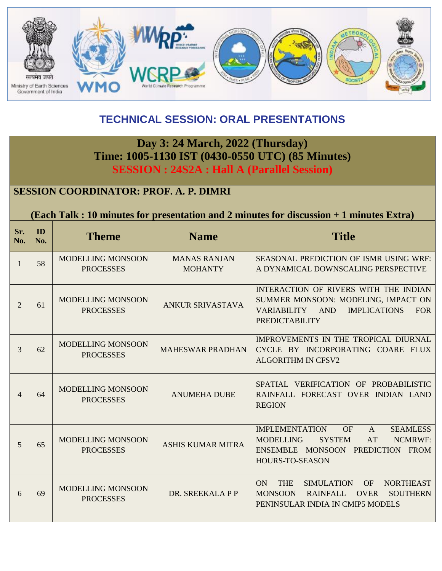

## **TECHNICAL SESSION: ORAL PRESENTATIONS**

## **Day 3: 24 March, 2022 (Thursday) Time: 1005-1130 IST (0430-0550 UTC) (85 Minutes) SESSION : 24S2A : Hall A (Parallel Session)**

### **SESSION COORDINATOR: PROF. A. P. DIMRI**

#### **(Each Talk : 10 minutes for presentation and 2 minutes for discussion + 1 minutes Extra)**

| Sr.<br>No.     | ID<br>No. | <b>Theme</b>                                 | <b>Name</b>                           | <b>Title</b>                                                                                                                                                                              |
|----------------|-----------|----------------------------------------------|---------------------------------------|-------------------------------------------------------------------------------------------------------------------------------------------------------------------------------------------|
| 1              | 58        | MODELLING MONSOON<br><b>PROCESSES</b>        | <b>MANAS RANJAN</b><br><b>MOHANTY</b> | <b>SEASONAL PREDICTION OF ISMR USING WRF:</b><br>A DYNAMICAL DOWNSCALING PERSPECTIVE                                                                                                      |
| $\overline{2}$ | 61        | MODELLING MONSOON<br><b>PROCESSES</b>        | <b>ANKUR SRIVASTAVA</b>               | INTERACTION OF RIVERS WITH THE INDIAN<br>SUMMER MONSOON: MODELING, IMPACT ON<br><b>IMPLICATIONS</b><br>VARIABILITY AND<br><b>FOR</b><br><b>PREDICTABILITY</b>                             |
| $\overline{3}$ | 62        | MODELLING MONSOON<br><b>PROCESSES</b>        | <b>MAHESWAR PRADHAN</b>               | IMPROVEMENTS IN THE TROPICAL DIURNAL<br>CYCLE BY INCORPORATING COARE FLUX<br><b>ALGORITHM IN CFSV2</b>                                                                                    |
| 4              | 64        | <b>MODELLING MONSOON</b><br><b>PROCESSES</b> | <b>ANUMEHA DUBE</b>                   | SPATIAL VERIFICATION OF PROBABILISTIC<br>RAINFALL FORECAST OVER INDIAN LAND<br><b>REGION</b>                                                                                              |
| $\mathfrak{S}$ | 65        | MODELLING MONSOON<br><b>PROCESSES</b>        | <b>ASHIS KUMAR MITRA</b>              | <b>IMPLEMENTATION</b><br><b>SEAMLESS</b><br>OF<br>$\mathsf{A}$<br><b>NCMRWF:</b><br><b>MODELLING</b><br><b>SYSTEM</b><br>AT<br>ENSEMBLE MONSOON PREDICTION FROM<br><b>HOURS-TO-SEASON</b> |
| 6              | 69        | MODELLING MONSOON<br><b>PROCESSES</b>        | DR. SREEKALA P P                      | <b>THE</b><br>ON<br><b>SIMULATION</b><br><b>OF</b><br><b>NORTHEAST</b><br><b>MONSOON</b><br><b>RAINFALL</b><br><b>OVER</b><br><b>SOUTHERN</b><br>PENINSULAR INDIA IN CMIP5 MODELS         |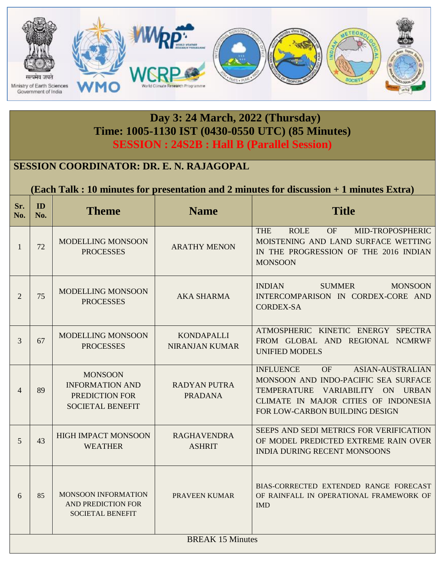

### **Day 3: 24 March, 2022 (Thursday) Time: 1005-1130 IST (0430-0550 UTC) (85 Minutes) SESSION : 24S2B : Hall B (Parallel Session)**

### **SESSION COORDINATOR: DR. E. N. RAJAGOPAL**

**(Each Talk : 10 minutes for presentation and 2 minutes for discussion + 1 minutes Extra)**

| Sr.<br>No.     | ID<br>No.               | <b>Theme</b>                                                                          | <b>Name</b>                                | <b>Title</b>                                                                                                                                                                                            |  |  |
|----------------|-------------------------|---------------------------------------------------------------------------------------|--------------------------------------------|---------------------------------------------------------------------------------------------------------------------------------------------------------------------------------------------------------|--|--|
| $\mathbf{1}$   | 72                      | MODELLING MONSOON<br><b>PROCESSES</b>                                                 | <b>ARATHY MENON</b>                        | <b>THE</b><br><b>ROLE</b><br>MID-TROPOSPHERIC<br><b>OF</b><br>MOISTENING AND LAND SURFACE WETTING<br>IN THE PROGRESSION OF THE 2016 INDIAN<br><b>MONSOON</b>                                            |  |  |
| $\overline{2}$ | 75                      | MODELLING MONSOON<br><b>PROCESSES</b>                                                 | <b>AKA SHARMA</b>                          | <b>INDIAN</b><br><b>SUMMER</b><br><b>MONSOON</b><br>INTERCOMPARISON IN CORDEX-CORE AND<br><b>CORDEX-SA</b>                                                                                              |  |  |
| 3              | 67                      | <b>MODELLING MONSOON</b><br><b>PROCESSES</b>                                          | <b>KONDAPALLI</b><br><b>NIRANJAN KUMAR</b> | ATMOSPHERIC KINETIC ENERGY SPECTRA<br>FROM GLOBAL AND REGIONAL NCMRWF<br><b>UNIFIED MODELS</b>                                                                                                          |  |  |
| $\overline{4}$ | 89                      | <b>MONSOON</b><br><b>INFORMATION AND</b><br>PREDICTION FOR<br><b>SOCIETAL BENEFIT</b> | <b>RADYAN PUTRA</b><br><b>PRADANA</b>      | <b>INFLUENCE</b><br>OF<br><b>ASIAN-AUSTRALIAN</b><br>MONSOON AND INDO-PACIFIC SEA SURFACE<br>TEMPERATURE VARIABILITY ON URBAN<br>CLIMATE IN MAJOR CITIES OF INDONESIA<br>FOR LOW-CARBON BUILDING DESIGN |  |  |
| $\mathfrak{S}$ | 43                      | <b>HIGH IMPACT MONSOON</b><br><b>WEATHER</b>                                          | <b>RAGHAVENDRA</b><br><b>ASHRIT</b>        | SEEPS AND SEDI METRICS FOR VERIFICATION<br>OF MODEL PREDICTED EXTREME RAIN OVER<br><b>INDIA DURING RECENT MONSOONS</b>                                                                                  |  |  |
| 6              | 85                      | <b>MONSOON INFORMATION</b><br><b>AND PREDICTION FOR</b><br><b>SOCIETAL BENEFIT</b>    | PRAVEEN KUMAR                              | BIAS-CORRECTED EXTENDED RANGE FORECAST<br>OF RAINFALL IN OPERATIONAL FRAMEWORK OF<br><b>IMD</b>                                                                                                         |  |  |
|                | <b>BREAK 15 Minutes</b> |                                                                                       |                                            |                                                                                                                                                                                                         |  |  |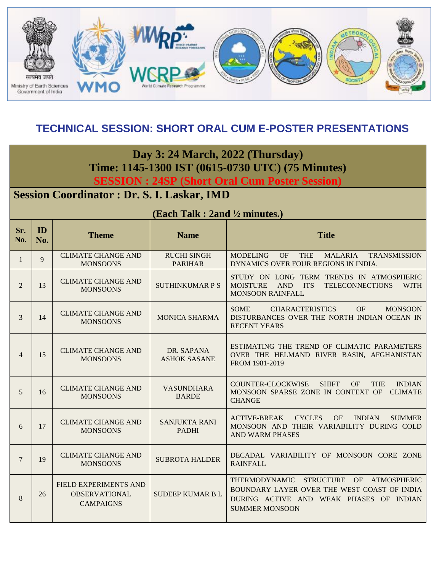

### **TECHNICAL SESSION: SHORT ORAL CUM E-POSTER PRESENTATIONS**

**Day 3: 24 March, 2022 (Thursday) Time: 1145-1300 IST (0615-0730 UTC) (75 Minutes)**

**SESSION : 24SP (Short Oral Cum Poster Session)**

## **Session Coordinator : Dr. S. I. Laskar, IMD**

|                | (Each Talk: 2and 1/2 minutes.) |                                                                   |                                      |                                                                                                                                                                        |  |  |  |
|----------------|--------------------------------|-------------------------------------------------------------------|--------------------------------------|------------------------------------------------------------------------------------------------------------------------------------------------------------------------|--|--|--|
| Sr.<br>No.     | ID<br>No.                      | <b>Theme</b>                                                      | <b>Name</b>                          | <b>Title</b>                                                                                                                                                           |  |  |  |
| $\mathbf{1}$   | 9                              | <b>CLIMATE CHANGE AND</b><br><b>MONSOONS</b>                      | <b>RUCHI SINGH</b><br><b>PARIHAR</b> | <b>MODELING</b><br>OF<br><b>THE</b><br><b>MALARIA</b><br><b>TRANSMISSION</b><br>DYNAMICS OVER FOUR REGIONS IN INDIA.                                                   |  |  |  |
| 2              | 13                             | <b>CLIMATE CHANGE AND</b><br><b>MONSOONS</b>                      | <b>SUTHINKUMAR P S</b>               | STUDY ON LONG TERM TRENDS IN ATMOSPHERIC<br><b>MOISTURE</b><br><b>AND</b><br><b>ITS</b><br><b>TELECONNECTIONS</b><br><b>WITH</b><br><b>MONSOON RAINFALL</b>            |  |  |  |
| 3              | 14                             | <b>CLIMATE CHANGE AND</b><br><b>MONSOONS</b>                      | <b>MONICA SHARMA</b>                 | <b>CHARACTERISTICS</b><br>OF<br><b>SOME</b><br><b>MONSOON</b><br>DISTURBANCES OVER THE NORTH INDIAN OCEAN IN<br><b>RECENT YEARS</b>                                    |  |  |  |
| $\overline{4}$ | 15                             | <b>CLIMATE CHANGE AND</b><br><b>MONSOONS</b>                      | DR. SAPANA<br><b>ASHOK SASANE</b>    | ESTIMATING THE TREND OF CLIMATIC PARAMETERS<br>OVER THE HELMAND RIVER BASIN, AFGHANISTAN<br>FROM 1981-2019                                                             |  |  |  |
| 5              | 16                             | <b>CLIMATE CHANGE AND</b><br><b>MONSOONS</b>                      | <b>VASUNDHARA</b><br><b>BARDE</b>    | COUNTER-CLOCKWISE<br><b>SHIFT</b><br>OF<br><b>THE</b><br><b>INDIAN</b><br>MONSOON SPARSE ZONE IN CONTEXT OF<br><b>CLIMATE</b><br><b>CHANGE</b>                         |  |  |  |
| 6              | 17                             | <b>CLIMATE CHANGE AND</b><br><b>MONSOONS</b>                      | <b>SANJUKTA RANI</b><br><b>PADHI</b> | <b>ACTIVE-BREAK</b><br><b>CYCLES</b><br>OF<br><b>INDIAN</b><br><b>SUMMER</b><br>MONSOON AND THEIR VARIABILITY DURING COLD<br><b>AND WARM PHASES</b>                    |  |  |  |
| $\tau$         | 19                             | <b>CLIMATE CHANGE AND</b><br><b>MONSOONS</b>                      | <b>SUBROTA HALDER</b>                | DECADAL VARIABILITY OF MONSOON CORE ZONE<br><b>RAINFALL</b>                                                                                                            |  |  |  |
| 8              | 26                             | FIELD EXPERIMENTS AND<br><b>OBSERVATIONAL</b><br><b>CAMPAIGNS</b> | <b>SUDEEP KUMAR BL</b>               | THERMODYNAMIC STRUCTURE<br>OF<br><b>ATMOSPHERIC</b><br>BOUNDARY LAYER OVER THE WEST COAST OF INDIA<br>DURING ACTIVE AND WEAK PHASES OF INDIAN<br><b>SUMMER MONSOON</b> |  |  |  |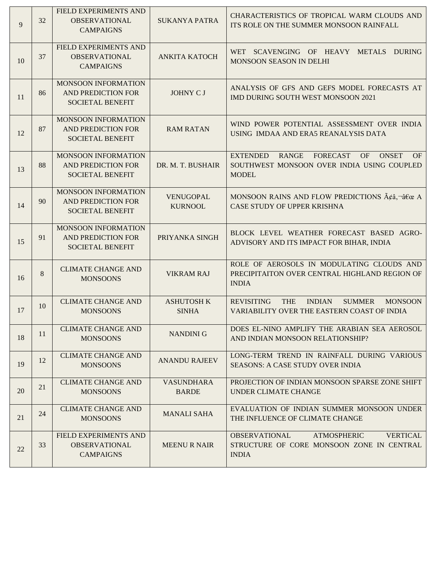| 9  | 32 | FIELD EXPERIMENTS AND<br><b>OBSERVATIONAL</b><br><b>CAMPAIGNS</b>           | <b>SUKANYA PATRA</b>               | CHARACTERISTICS OF TROPICAL WARM CLOUDS AND<br>ITS ROLE ON THE SUMMER MONSOON RAINFALL                                                       |
|----|----|-----------------------------------------------------------------------------|------------------------------------|----------------------------------------------------------------------------------------------------------------------------------------------|
| 10 | 37 | FIELD EXPERIMENTS AND<br><b>OBSERVATIONAL</b><br><b>CAMPAIGNS</b>           | <b>ANKITA KATOCH</b>               | WET SCAVENGING OF HEAVY METALS DURING<br>MONSOON SEASON IN DELHI                                                                             |
| 11 | 86 | MONSOON INFORMATION<br>AND PREDICTION FOR<br><b>SOCIETAL BENEFIT</b>        | <b>JOHNY CJ</b>                    | ANALYSIS OF GFS AND GEFS MODEL FORECASTS AT<br>IMD DURING SOUTH WEST MONSOON 2021                                                            |
| 12 | 87 | MONSOON INFORMATION<br>AND PREDICTION FOR<br><b>SOCIETAL BENEFIT</b>        | <b>RAM RATAN</b>                   | WIND POWER POTENTIAL ASSESSMENT OVER INDIA<br>USING IMDAA AND ERA5 REANALYSIS DATA                                                           |
| 13 | 88 | <b>MONSOON INFORMATION</b><br>AND PREDICTION FOR<br><b>SOCIETAL BENEFIT</b> | DR. M. T. BUSHAIR                  | <b>EXTENDED</b><br><b>RANGE</b><br><b>ONSET</b><br><b>FORECAST</b><br>OF<br>OF<br>SOUTHWEST MONSOON OVER INDIA USING COUPLED<br><b>MODEL</b> |
| 14 | 90 | MONSOON INFORMATION<br>AND PREDICTION FOR<br><b>SOCIETAL BENEFIT</b>        | <b>VENUGOPAL</b><br><b>KURNOOL</b> | MONSOON RAINS AND FLOW PREDICTIONS $\tilde{A}\xi\hat{a}$ , $\neg \hat{a}\xi\hat{\alpha}$ A<br>CASE STUDY OF UPPER KRISHNA                    |
| 15 | 91 | MONSOON INFORMATION<br><b>AND PREDICTION FOR</b><br><b>SOCIETAL BENEFIT</b> | PRIYANKA SINGH                     | BLOCK LEVEL WEATHER FORECAST BASED AGRO-<br>ADVISORY AND ITS IMPACT FOR BIHAR, INDIA                                                         |
| 16 | 8  | <b>CLIMATE CHANGE AND</b><br><b>MONSOONS</b>                                | <b>VIKRAM RAJ</b>                  | ROLE OF AEROSOLS IN MODULATING CLOUDS AND<br>PRECIPITAITON OVER CENTRAL HIGHLAND REGION OF<br><b>INDIA</b>                                   |
| 17 | 10 | <b>CLIMATE CHANGE AND</b><br><b>MONSOONS</b>                                | <b>ASHUTOSH K</b><br><b>SINHA</b>  | <b>REVISITING</b><br><b>THE</b><br><b>INDIAN</b><br><b>MONSOON</b><br><b>SUMMER</b><br>VARIABILITY OVER THE EASTERN COAST OF INDIA           |
| 18 | 11 | <b>CLIMATE CHANGE AND</b><br><b>MONSOONS</b>                                | <b>NANDINI G</b>                   | DOES EL-NINO AMPLIFY THE ARABIAN SEA AEROSOL<br>AND INDIAN MONSOON RELATIONSHIP?                                                             |
| 19 | 12 | <b>CLIMATE CHANGE AND</b><br><b>MONSOONS</b>                                | <b>ANANDU RAJEEV</b>               | LONG-TERM TREND IN RAINFALL DURING VARIOUS<br><b>SEASONS: A CASE STUDY OVER INDIA</b>                                                        |
| 20 | 21 | <b>CLIMATE CHANGE AND</b><br><b>MONSOONS</b>                                | <b>VASUNDHARA</b><br><b>BARDE</b>  | PROJECTION OF INDIAN MONSOON SPARSE ZONE SHIFT<br>UNDER CLIMATE CHANGE                                                                       |
| 21 | 24 | <b>CLIMATE CHANGE AND</b><br><b>MONSOONS</b>                                | <b>MANALI SAHA</b>                 | EVALUATION OF INDIAN SUMMER MONSOON UNDER<br>THE INFLUENCE OF CLIMATE CHANGE                                                                 |
| 22 | 33 | FIELD EXPERIMENTS AND<br><b>OBSERVATIONAL</b><br><b>CAMPAIGNS</b>           | <b>MEENU R NAIR</b>                | <b>ATMOSPHERIC</b><br><b>VERTICAL</b><br>OBSERVATIONAL<br>STRUCTURE OF CORE MONSOON ZONE IN CENTRAL<br><b>INDIA</b>                          |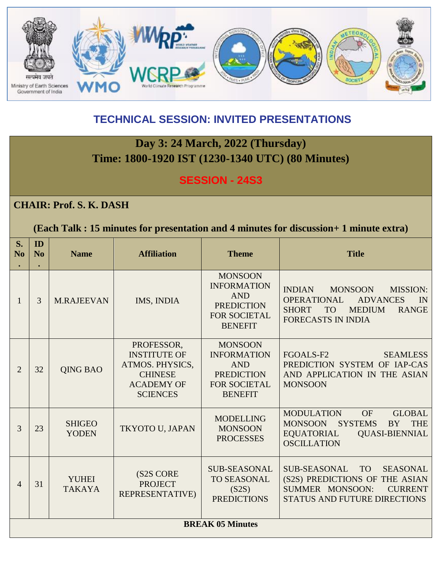

## **TECHNICAL SESSION: INVITED PRESENTATIONS**

## **Day 3: 24 March, 2022 (Thursday) Time: 1800-1920 IST (1230-1340 UTC) (80 Minutes)**

### **SESSION - 24S3**

#### **CHAIR: Prof. S. K. DASH**

#### **(Each Talk : 15 minutes for presentation and 4 minutes for discussion+ 1 minute extra)**

| S.<br>No       | ID<br>No                | <b>Name</b>                   | <b>Affiliation</b>                                                                                             | <b>Theme</b>                                                                                                     | <b>Title</b>                                                                                                                                                                                 |  |
|----------------|-------------------------|-------------------------------|----------------------------------------------------------------------------------------------------------------|------------------------------------------------------------------------------------------------------------------|----------------------------------------------------------------------------------------------------------------------------------------------------------------------------------------------|--|
| 1              | $\mathcal{E}$           | <b>M.RAJEEVAN</b>             | IMS, INDIA                                                                                                     | <b>MONSOON</b><br><b>INFORMATION</b><br><b>AND</b><br><b>PREDICTION</b><br><b>FOR SOCIETAL</b><br><b>BENEFIT</b> | <b>INDIAN</b><br><b>MONSOON</b><br><b>MISSION:</b><br><b>OPERATIONAL</b><br><b>ADVANCES</b><br>IN<br><b>SHORT</b><br><b>TO</b><br><b>MEDIUM</b><br><b>RANGE</b><br><b>FORECASTS IN INDIA</b> |  |
| 2              | 32                      | <b>QING BAO</b>               | PROFESSOR,<br><b>INSTITUTE OF</b><br>ATMOS. PHYSICS,<br><b>CHINESE</b><br><b>ACADEMY OF</b><br><b>SCIENCES</b> | <b>MONSOON</b><br><b>INFORMATION</b><br><b>AND</b><br><b>PREDICTION</b><br>FOR SOCIETAL<br><b>BENEFIT</b>        | FGOALS-F2<br><b>SEAMLESS</b><br>PREDICTION SYSTEM OF IAP-CAS<br>AND APPLICATION IN THE ASIAN<br><b>MONSOON</b>                                                                               |  |
| 3              | 23                      | <b>SHIGEO</b><br><b>YODEN</b> | TKYOTO U, JAPAN                                                                                                | <b>MODELLING</b><br><b>MONSOON</b><br><b>PROCESSES</b>                                                           | OF<br><b>MODULATION</b><br><b>GLOBAL</b><br><b>SYSTEMS</b><br><b>MONSOON</b><br><b>BY</b><br><b>THE</b><br><b>QUASI-BIENNIAL</b><br><b>EQUATORIAL</b><br><b>OSCILLATION</b>                  |  |
| $\overline{4}$ | 31                      | <b>YUHEI</b><br><b>TAKAYA</b> | (S2S CORE<br><b>PROJECT</b><br>REPRESENTATIVE)                                                                 | <b>SUB-SEASONAL</b><br><b>TO SEASONAL</b><br>(S2S)<br><b>PREDICTIONS</b>                                         | <b>SUB-SEASONAL</b><br><b>TO</b><br><b>SEASONAL</b><br>(S2S) PREDICTIONS OF THE ASIAN<br><b>SUMMER MONSOON:</b><br><b>CURRENT</b><br><b>STATUS AND FUTURE DIRECTIONS</b>                     |  |
|                | <b>BREAK 05 Minutes</b> |                               |                                                                                                                |                                                                                                                  |                                                                                                                                                                                              |  |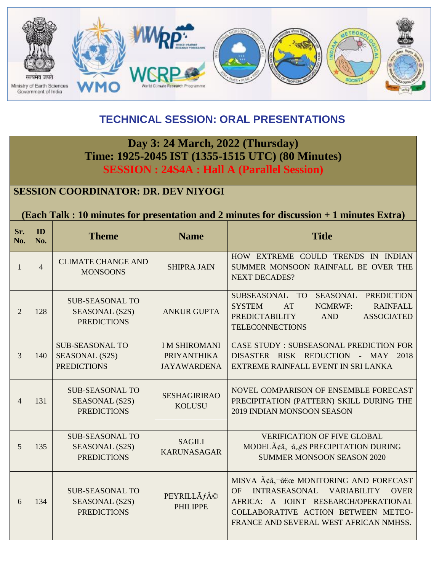

## **TECHNICAL SESSION: ORAL PRESENTATIONS**

## **Day 3: 24 March, 2022 (Thursday) Time: 1925-2045 IST (1355-1515 UTC) (80 Minutes) SESSION : 24S4A : Hall A (Parallel Session)**

### **SESSION COORDINATOR: DR. DEV NIYOGI**

#### **(Each Talk : 10 minutes for presentation and 2 minutes for discussion + 1 minutes Extra)**

| Sr.<br>No.     | ID<br>No.      | <b>Theme</b>                                                   | <b>Name</b>                                                     | <b>Title</b>                                                                                                                                                                                                     |
|----------------|----------------|----------------------------------------------------------------|-----------------------------------------------------------------|------------------------------------------------------------------------------------------------------------------------------------------------------------------------------------------------------------------|
| $\mathbf{1}$   | $\overline{4}$ | <b>CLIMATE CHANGE AND</b><br><b>MONSOONS</b>                   | <b>SHIPRA JAIN</b>                                              | HOW EXTREME COULD TRENDS IN INDIAN<br>SUMMER MONSOON RAINFALL BE OVER THE<br><b>NEXT DECADES?</b>                                                                                                                |
| $\overline{2}$ | 128            | <b>SUB-SEASONAL TO</b><br>SEASONAL (S2S)<br><b>PREDICTIONS</b> | <b>ANKUR GUPTA</b>                                              | SUBSEASONAL TO<br>SEASONAL PREDICTION<br><b>SYSTEM</b><br>AT<br><b>NCMRWF:</b><br><b>RAINFALL</b><br><b>PREDICTABILITY</b><br><b>AND</b><br><b>ASSOCIATED</b><br><b>TELECONNECTIONS</b>                          |
| 3              | 140            | <b>SUB-SEASONAL TO</b><br>SEASONAL (S2S)<br><b>PREDICTIONS</b> | <b>IM SHIROMANI</b><br><b>PRIYANTHIKA</b><br><b>JAYAWARDENA</b> | <b>CASE STUDY: SUBSEASONAL PREDICTION FOR</b><br>DISASTER RISK REDUCTION - MAY 2018<br>EXTREME RAINFALL EVENT IN SRI LANKA                                                                                       |
| 4              | 131            | <b>SUB-SEASONAL TO</b><br>SEASONAL (S2S)<br><b>PREDICTIONS</b> | <b>SESHAGIRIRAO</b><br><b>KOLUSU</b>                            | NOVEL COMPARISON OF ENSEMBLE FORECAST<br>PRECIPITATION (PATTERN) SKILL DURING THE<br>2019 INDIAN MONSOON SEASON                                                                                                  |
| 5              | 135            | <b>SUB-SEASONAL TO</b><br>SEASONAL (S2S)<br><b>PREDICTIONS</b> | <b>SAGILI</b><br><b>KARUNASAGAR</b>                             | <b>VERIFICATION OF FIVE GLOBAL</b><br>MODELââ, $\neg$ â,,¢S PRECIPITATION DURING<br><b>SUMMER MONSOON SEASON 2020</b>                                                                                            |
| 6              | 134            | <b>SUB-SEASONAL TO</b><br>SEASONAL (S2S)<br><b>PREDICTIONS</b> | PEYRILLÃ $f$ ©<br><b>PHILIPPE</b>                               | MISVA ââ,¬â€œ MONITORING AND FORECAST<br>OF<br>INTRASEASONAL VARIABILITY<br><b>OVER</b><br>AFRICA: A JOINT RESEARCH/OPERATIONAL<br>COLLABORATIVE ACTION BETWEEN METEO-<br>FRANCE AND SEVERAL WEST AFRICAN NMHSS. |